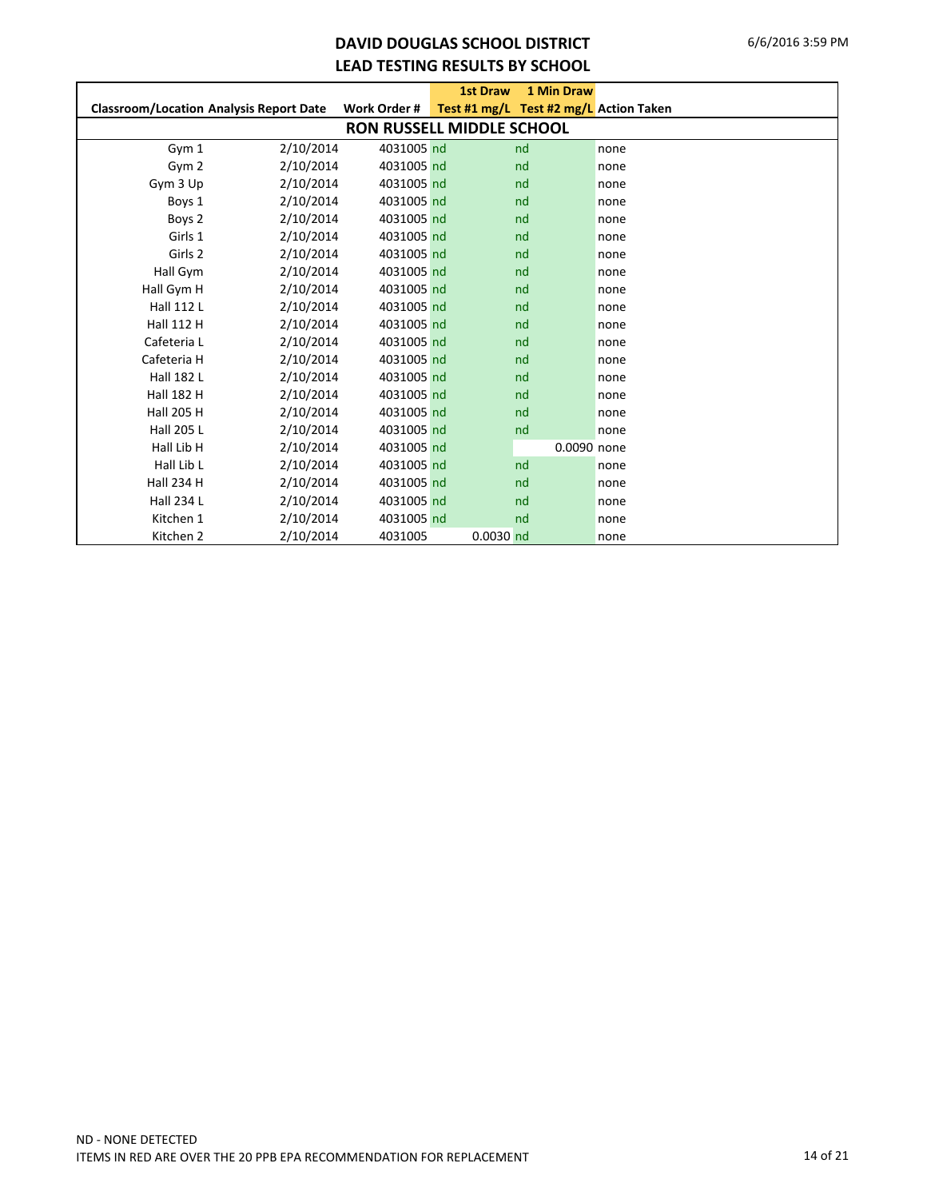## **DAVID DOUGLAS SCHOOL DISTRICT LEAD TESTING RESULTS BY SCHOOL**

|                                                |           |                                  | <b>1st Draw</b> | 1 Min Draw                             |      |
|------------------------------------------------|-----------|----------------------------------|-----------------|----------------------------------------|------|
| <b>Classroom/Location Analysis Report Date</b> |           | Work Order #                     |                 | Test #1 mg/L Test #2 mg/L Action Taken |      |
|                                                |           | <b>RON RUSSELL MIDDLE SCHOOL</b> |                 |                                        |      |
| Gym 1                                          | 2/10/2014 | 4031005 nd                       |                 | nd                                     | none |
| Gym 2                                          | 2/10/2014 | 4031005 nd                       |                 | nd                                     | none |
| Gym 3 Up                                       | 2/10/2014 | 4031005 nd                       |                 | nd                                     | none |
| Boys 1                                         | 2/10/2014 | 4031005 nd                       |                 | nd                                     | none |
| Boys 2                                         | 2/10/2014 | 4031005 nd                       |                 | nd                                     | none |
| Girls 1                                        | 2/10/2014 | 4031005 nd                       |                 | nd                                     | none |
| Girls 2                                        | 2/10/2014 | 4031005 nd                       |                 | nd                                     | none |
| Hall Gym                                       | 2/10/2014 | 4031005 nd                       |                 | nd                                     | none |
| Hall Gym H                                     | 2/10/2014 | 4031005 nd                       |                 | nd                                     | none |
| Hall 112 L                                     | 2/10/2014 | 4031005 nd                       |                 | nd                                     | none |
| <b>Hall 112 H</b>                              | 2/10/2014 | 4031005 nd                       |                 | nd                                     | none |
| Cafeteria L                                    | 2/10/2014 | 4031005 nd                       |                 | nd                                     | none |
| Cafeteria H                                    | 2/10/2014 | 4031005 nd                       |                 | nd                                     | none |
| <b>Hall 182 L</b>                              | 2/10/2014 | 4031005 nd                       |                 | nd                                     | none |
| <b>Hall 182 H</b>                              | 2/10/2014 | 4031005 nd                       |                 | nd                                     | none |
| <b>Hall 205 H</b>                              | 2/10/2014 | 4031005 nd                       |                 | nd                                     | none |
| <b>Hall 205 L</b>                              | 2/10/2014 | 4031005 nd                       |                 | nd                                     | none |
| Hall Lib H                                     | 2/10/2014 | 4031005 nd                       |                 | 0.0090 none                            |      |
| Hall Lib L                                     | 2/10/2014 | 4031005 nd                       |                 | nd                                     | none |
| <b>Hall 234 H</b>                              | 2/10/2014 | 4031005 nd                       |                 | nd                                     | none |
| Hall 234 L                                     | 2/10/2014 | 4031005 nd                       |                 | nd                                     | none |
| Kitchen 1                                      | 2/10/2014 | 4031005 nd                       |                 | nd                                     | none |
| Kitchen 2                                      | 2/10/2014 | 4031005                          | $0.0030$ nd     |                                        | none |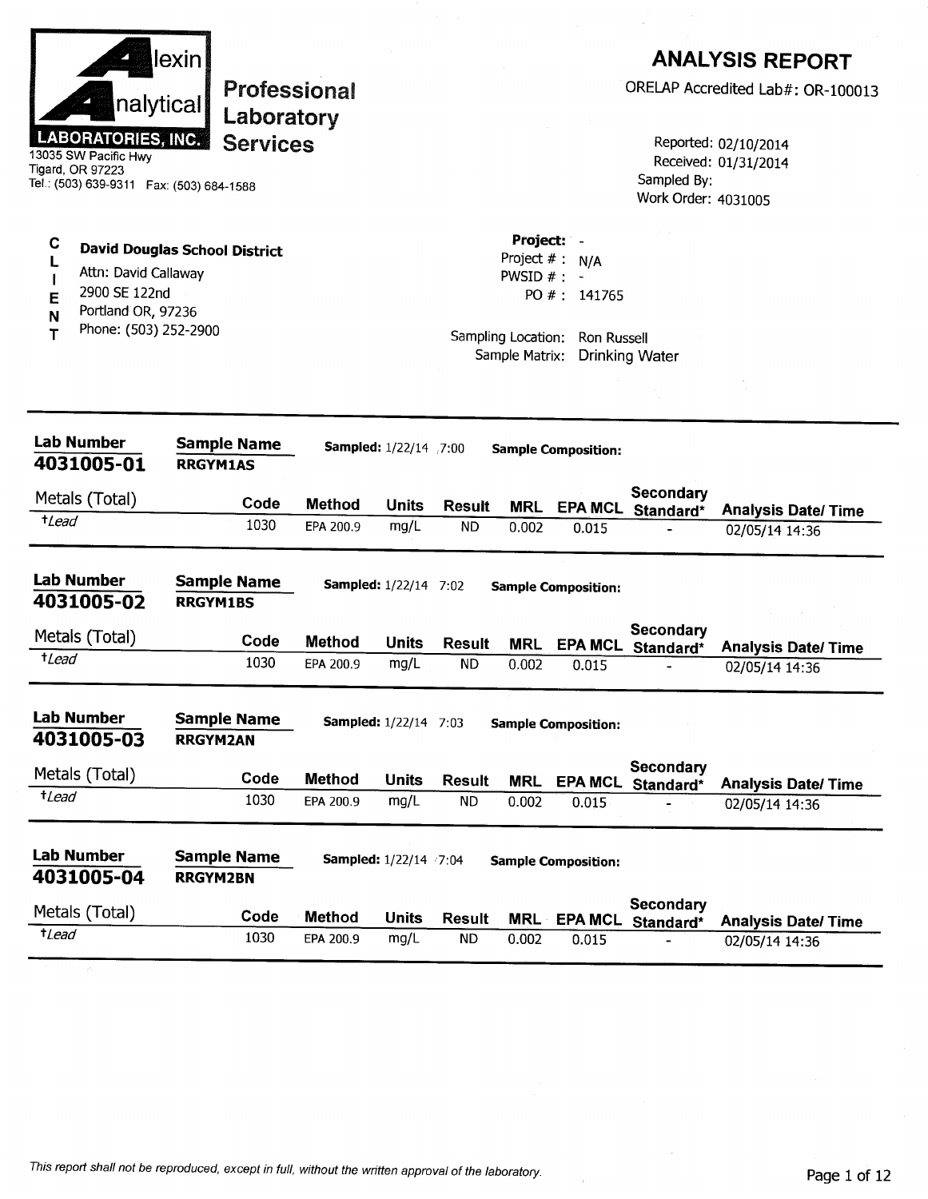| Project: -<br>C<br><b>David Douglas School District</b><br>Project $# : N/A$<br>Attn: David Callaway<br>PWSID $#$ : -<br>2900 SE 122nd<br>PO #: 141765<br>Е<br>Portland OR, 97236<br>N<br>Phone: (503) 252-2900<br>т<br>Sampling Location:<br>Ron Russell<br>Sample Matrix:<br><b>Drinking Water</b><br>Lab Number<br><b>Sample Name</b><br>Sampled: 1/22/14 7:00<br><b>Sample Composition:</b><br>4031005-01<br><b>RRGYM1AS</b><br>Secondary<br>Metals (Total)<br>Code<br><b>Method</b><br><b>Units</b><br><b>Result</b><br><b>MRL</b><br><b>EPA MCL</b><br>Standard*<br><b>Analysis Date/ Time</b><br>$t$ Lead<br>1030<br>EPA 200.9<br>mg/L<br>ND.<br>0.002<br>0.015<br>02/05/14 14:36<br><b>Lab Number</b><br><b>Sample Name</b><br><b>Sampled:</b> 1/22/14 7:02<br><b>Sample Composition:</b><br>4031005-02<br><b>RRGYM1BS</b><br>Secondary<br>Metals (Total)<br>Code<br><b>Method</b><br><b>Units</b><br><b>Result</b><br><b>MRL</b><br>EPA MCL Standard*<br><b>Analysis Date/Time</b><br>$t$ Lead<br>1030<br><b>ND</b><br>mg/L<br>EPA 200.9<br>0.002<br>0.015<br>02/05/14 14:36<br>Lab Number<br><b>Sample Name</b><br><b>Sampled:</b> 1/22/14 7:03<br><b>Sample Composition:</b><br>4031005-03<br><b>RRGYM2AN</b><br>Secondary<br>Metals (Total)<br>Code<br><b>Method</b><br><b>Units</b><br><b>Result</b><br><b>MRL</b><br>EPA MCL Standard*<br><b>Analysis Date/ Time</b><br>$t$ Lead<br>1030<br>mg/L<br><b>ND</b><br>EPA 200.9<br>0.002<br>0.015<br>02/05/14 14:36<br><b>Lab Number</b><br><b>Sample Name</b><br><b>Sampled:</b> 1/22/14 /7:04<br><b>Sample Composition:</b><br>4031005-04<br><b>RRGYM2BN</b><br>Secondary<br>Metals (Total)<br>Code<br>Method<br><b>Units</b><br><b>Result</b><br><b>MRL</b><br><b>EPA MCL</b><br>Standard*<br><b>Analysis Date/ Time</b><br>$t$ <i>Lead</i><br>1030<br><b>ND</b><br>EPA 200.9<br>mg/L<br>0.002<br>0.015<br>02/05/14 14:36 | nalytical<br><b>LABORATORIES, INC.</b><br>13035 SW Pacific Hwy<br>Tigard, OR 97223<br>Tel.: (503) 639-9311  Fax: (503) 684-1588 | lexin<br>Professional<br>Laboratory<br><b>Services</b> |  |  | Sampled By:<br>Work Order: 4031005 | <b>ANALYSIS REPORT</b><br>ORELAP Accredited Lab#: OR-100013<br>Reported: 02/10/2014<br>Received: 01/31/2014 |
|---------------------------------------------------------------------------------------------------------------------------------------------------------------------------------------------------------------------------------------------------------------------------------------------------------------------------------------------------------------------------------------------------------------------------------------------------------------------------------------------------------------------------------------------------------------------------------------------------------------------------------------------------------------------------------------------------------------------------------------------------------------------------------------------------------------------------------------------------------------------------------------------------------------------------------------------------------------------------------------------------------------------------------------------------------------------------------------------------------------------------------------------------------------------------------------------------------------------------------------------------------------------------------------------------------------------------------------------------------------------------------------------------------------------------------------------------------------------------------------------------------------------------------------------------------------------------------------------------------------------------------------------------------------------------------------------------------------------------------------------------------------------------------------------------------------------------------------------------------------------------------------|---------------------------------------------------------------------------------------------------------------------------------|--------------------------------------------------------|--|--|------------------------------------|-------------------------------------------------------------------------------------------------------------|
|                                                                                                                                                                                                                                                                                                                                                                                                                                                                                                                                                                                                                                                                                                                                                                                                                                                                                                                                                                                                                                                                                                                                                                                                                                                                                                                                                                                                                                                                                                                                                                                                                                                                                                                                                                                                                                                                                       |                                                                                                                                 |                                                        |  |  |                                    |                                                                                                             |
|                                                                                                                                                                                                                                                                                                                                                                                                                                                                                                                                                                                                                                                                                                                                                                                                                                                                                                                                                                                                                                                                                                                                                                                                                                                                                                                                                                                                                                                                                                                                                                                                                                                                                                                                                                                                                                                                                       |                                                                                                                                 |                                                        |  |  |                                    |                                                                                                             |
|                                                                                                                                                                                                                                                                                                                                                                                                                                                                                                                                                                                                                                                                                                                                                                                                                                                                                                                                                                                                                                                                                                                                                                                                                                                                                                                                                                                                                                                                                                                                                                                                                                                                                                                                                                                                                                                                                       |                                                                                                                                 |                                                        |  |  |                                    |                                                                                                             |
|                                                                                                                                                                                                                                                                                                                                                                                                                                                                                                                                                                                                                                                                                                                                                                                                                                                                                                                                                                                                                                                                                                                                                                                                                                                                                                                                                                                                                                                                                                                                                                                                                                                                                                                                                                                                                                                                                       |                                                                                                                                 |                                                        |  |  |                                    |                                                                                                             |
|                                                                                                                                                                                                                                                                                                                                                                                                                                                                                                                                                                                                                                                                                                                                                                                                                                                                                                                                                                                                                                                                                                                                                                                                                                                                                                                                                                                                                                                                                                                                                                                                                                                                                                                                                                                                                                                                                       |                                                                                                                                 |                                                        |  |  |                                    |                                                                                                             |
|                                                                                                                                                                                                                                                                                                                                                                                                                                                                                                                                                                                                                                                                                                                                                                                                                                                                                                                                                                                                                                                                                                                                                                                                                                                                                                                                                                                                                                                                                                                                                                                                                                                                                                                                                                                                                                                                                       |                                                                                                                                 |                                                        |  |  |                                    |                                                                                                             |
|                                                                                                                                                                                                                                                                                                                                                                                                                                                                                                                                                                                                                                                                                                                                                                                                                                                                                                                                                                                                                                                                                                                                                                                                                                                                                                                                                                                                                                                                                                                                                                                                                                                                                                                                                                                                                                                                                       |                                                                                                                                 |                                                        |  |  |                                    |                                                                                                             |
|                                                                                                                                                                                                                                                                                                                                                                                                                                                                                                                                                                                                                                                                                                                                                                                                                                                                                                                                                                                                                                                                                                                                                                                                                                                                                                                                                                                                                                                                                                                                                                                                                                                                                                                                                                                                                                                                                       |                                                                                                                                 |                                                        |  |  |                                    |                                                                                                             |
|                                                                                                                                                                                                                                                                                                                                                                                                                                                                                                                                                                                                                                                                                                                                                                                                                                                                                                                                                                                                                                                                                                                                                                                                                                                                                                                                                                                                                                                                                                                                                                                                                                                                                                                                                                                                                                                                                       |                                                                                                                                 |                                                        |  |  |                                    |                                                                                                             |
|                                                                                                                                                                                                                                                                                                                                                                                                                                                                                                                                                                                                                                                                                                                                                                                                                                                                                                                                                                                                                                                                                                                                                                                                                                                                                                                                                                                                                                                                                                                                                                                                                                                                                                                                                                                                                                                                                       |                                                                                                                                 |                                                        |  |  |                                    |                                                                                                             |
|                                                                                                                                                                                                                                                                                                                                                                                                                                                                                                                                                                                                                                                                                                                                                                                                                                                                                                                                                                                                                                                                                                                                                                                                                                                                                                                                                                                                                                                                                                                                                                                                                                                                                                                                                                                                                                                                                       |                                                                                                                                 |                                                        |  |  |                                    |                                                                                                             |
|                                                                                                                                                                                                                                                                                                                                                                                                                                                                                                                                                                                                                                                                                                                                                                                                                                                                                                                                                                                                                                                                                                                                                                                                                                                                                                                                                                                                                                                                                                                                                                                                                                                                                                                                                                                                                                                                                       |                                                                                                                                 |                                                        |  |  |                                    |                                                                                                             |
|                                                                                                                                                                                                                                                                                                                                                                                                                                                                                                                                                                                                                                                                                                                                                                                                                                                                                                                                                                                                                                                                                                                                                                                                                                                                                                                                                                                                                                                                                                                                                                                                                                                                                                                                                                                                                                                                                       |                                                                                                                                 |                                                        |  |  |                                    |                                                                                                             |

 $\bar{1}$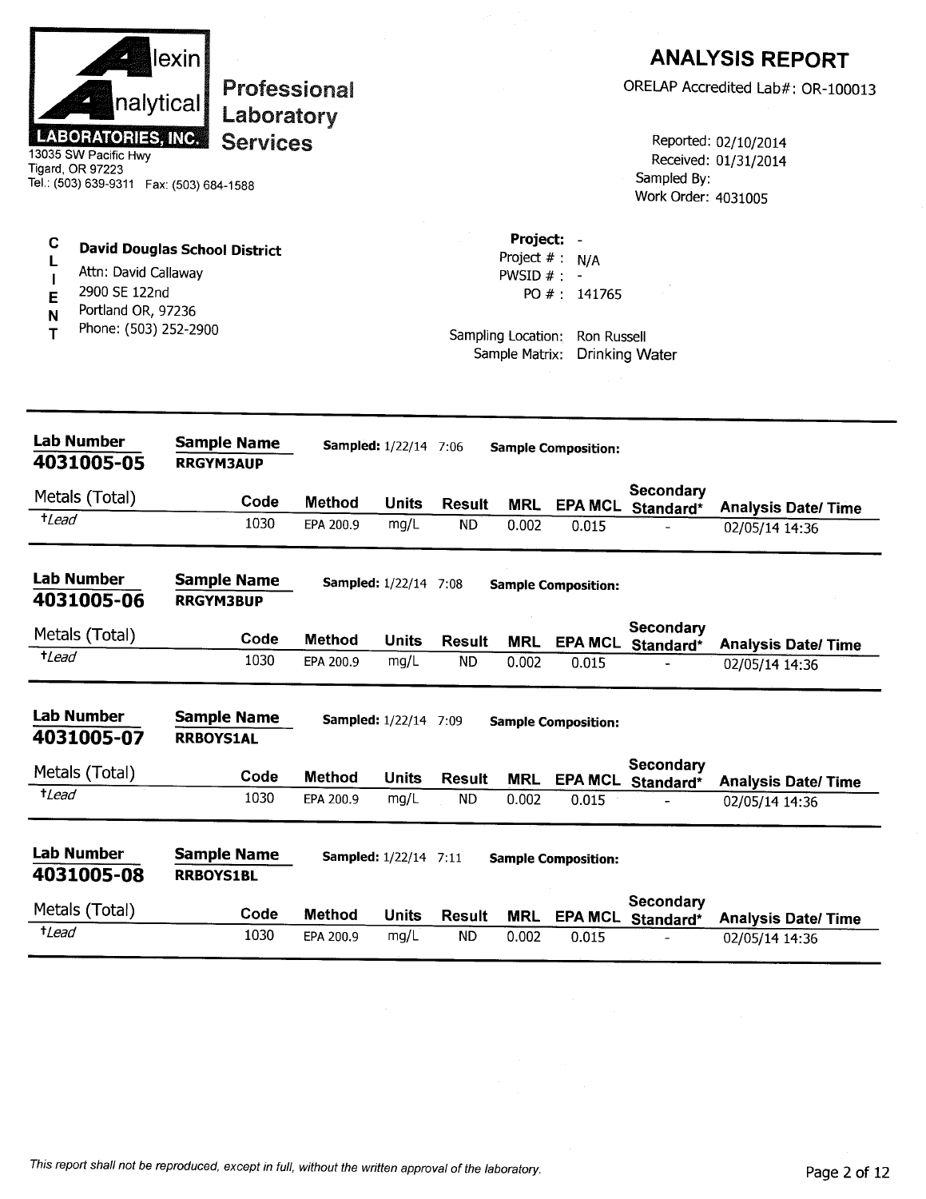|                       | nalytical<br><b>LABORATORIES, INC.</b><br>13035 SW Pacific Hwy<br>Tigard, OR 97223<br>Tel.: (503) 639-9311  Fax: (503) 684-1588 | lexin<br>Laboratory<br><b>Services</b> | <b>Professional</b>        |                              |                            |                                                                     |                                                  | Sampled By:<br>Work Order: 4031005 | <b>ANALYSIS REPORT</b><br>ORELAP Accredited Lab#: OR-100013<br>Reported: 02/10/2014<br>Received: 01/31/2014 |
|-----------------------|---------------------------------------------------------------------------------------------------------------------------------|----------------------------------------|----------------------------|------------------------------|----------------------------|---------------------------------------------------------------------|--------------------------------------------------|------------------------------------|-------------------------------------------------------------------------------------------------------------|
| C<br>Ł<br>E<br>N<br>т | Attn: David Callaway<br>2900 SE 122nd<br>Portland OR, 97236<br>Phone: (503) 252-2900                                            | <b>David Douglas School District</b>   |                            |                              |                            | Project: -<br>PWSID $#$ : -<br>Sampling Location:<br>Sample Matrix: | Project $# : N/A$<br>PO #: 141765<br>Ron Russell | <b>Drinking Water</b>              |                                                                                                             |
|                       | <b>Lab Number</b><br>4031005-05                                                                                                 | <b>Sample Name</b><br><b>RRGYM3AUP</b> |                            | <b>Sampled:</b> 1/22/14 7:06 |                            |                                                                     | <b>Sample Composition:</b>                       |                                    |                                                                                                             |
|                       | Metals (Total)                                                                                                                  | Code                                   |                            |                              |                            |                                                                     |                                                  | Secondary                          |                                                                                                             |
| $t$ <i>Lead</i>       |                                                                                                                                 | 1030                                   | <b>Method</b><br>EPA 200.9 | Units<br>mg/L                | <b>Result</b><br><b>ND</b> | <b>MRL</b><br>0.002                                                 | 0.015                                            | EPA MCL Standard*                  | <b>Analysis Date/Time</b><br>02/05/14 14:36                                                                 |
|                       | <b>Lab Number</b><br>4031005-06                                                                                                 | <b>Sample Name</b><br><b>RRGYM3BUP</b> |                            | <b>Sampled:</b> 1/22/14 7:08 |                            |                                                                     | <b>Sample Composition:</b>                       |                                    |                                                                                                             |
|                       | Metals (Total)                                                                                                                  | Code                                   | <b>Method</b>              | Units                        | Result                     | <b>MRL</b>                                                          | <b>EPA MCL</b>                                   | Secondary<br>Standard*             | <b>Analysis Date/Time</b>                                                                                   |
| $t$ <i>Lead</i>       |                                                                                                                                 | 1030                                   | EPA 200.9                  | mg/L                         | ND                         | 0.002                                                               | 0.015                                            |                                    | 02/05/14 14:36                                                                                              |
|                       | <b>Lab Number</b><br>4031005-07                                                                                                 | <b>Sample Name</b><br><b>RRBOYS1AL</b> |                            | <b>Sampled:</b> 1/22/14 7:09 |                            |                                                                     | <b>Sample Composition:</b>                       |                                    |                                                                                                             |
|                       | Metals (Total)                                                                                                                  | Code                                   | <b>Method</b>              | Units                        | <b>Result</b>              | <b>MRL</b>                                                          |                                                  | Secondary<br>EPA MCL Standard*     | <b>Analysis Date/Time</b>                                                                                   |
| $t$ <i>Lead</i>       |                                                                                                                                 | 1030                                   | EPA 200.9                  | mg/L                         | <b>ND</b>                  | 0.002                                                               | 0.015                                            |                                    | 02/05/14 14:36                                                                                              |
|                       | <b>Lab Number</b><br>4031005-08                                                                                                 | <b>Sample Name</b><br><b>RRBOYS1BL</b> |                            | <b>Sampled:</b> 1/22/14 7:11 |                            |                                                                     | <b>Sample Composition:</b>                       |                                    |                                                                                                             |
|                       | Metals (Total)                                                                                                                  | Code                                   | <b>Method</b>              | <b>Units</b>                 | <b>Result</b>              | <b>MRL</b>                                                          |                                                  | Secondary<br>EPA MCL Standard*     | <b>Analysis Date/ Time</b>                                                                                  |
| $t$ <i>Lead</i>       |                                                                                                                                 | 1030                                   | EPA 200.9                  | mg/L                         | <b>ND</b>                  | 0.002                                                               | 0.015                                            |                                    | 02/05/14 14:36                                                                                              |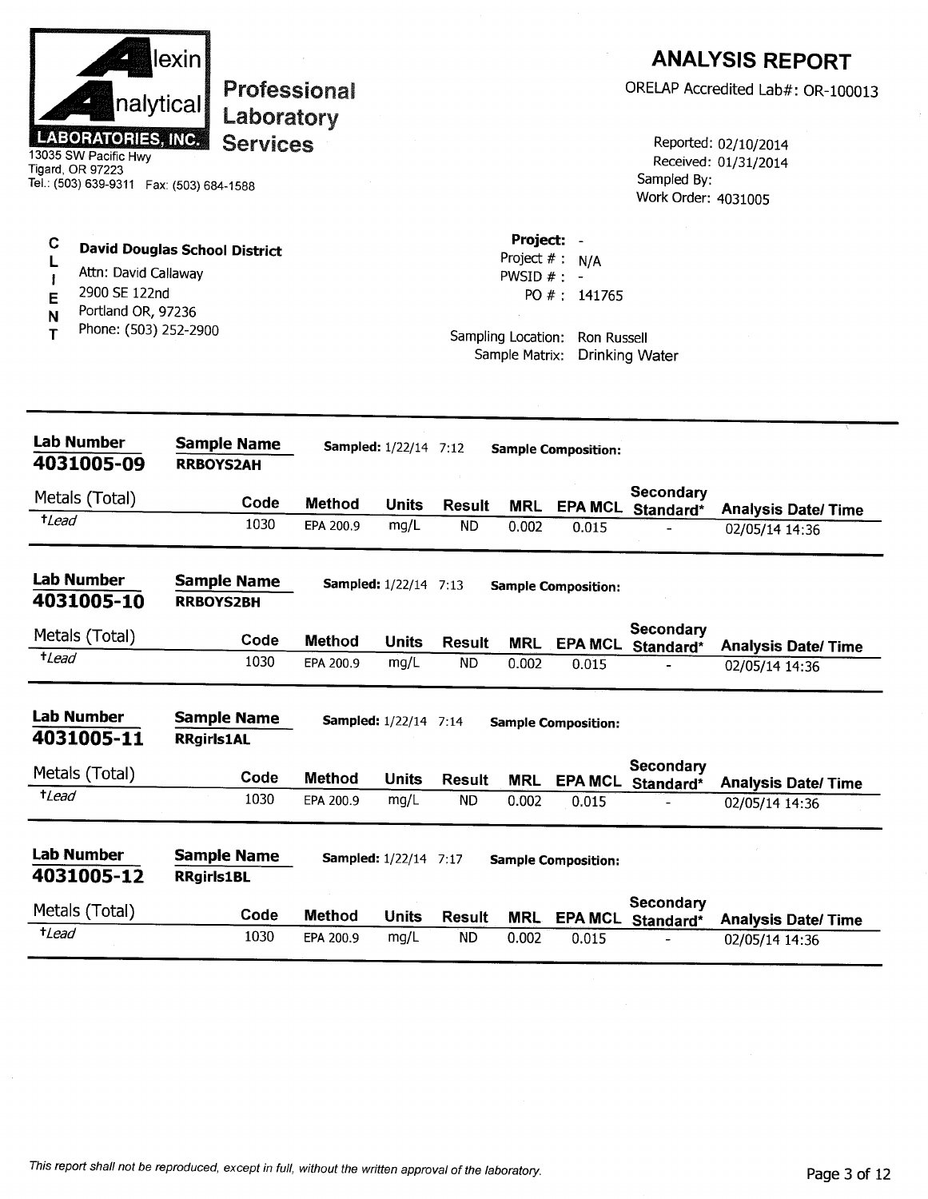|                  | nalytical<br><b>LABORATORIES, INC.</b><br>13035 SW Pacific Hwy<br>Tigard, OR 97223<br>Tel.: (503) 639-9311    Fax: (503) 684-1588 | lexin <br>Professional<br>Laboratory<br><b>Services</b> |               |                              |               |                            |                                                                                                        | Sampled By:<br>Work Order: 4031005 | <b>ANALYSIS REPORT</b><br>ORELAP Accredited Lab#: OR-100013<br>Reported: 02/10/2014<br>Received: 01/31/2014 |
|------------------|-----------------------------------------------------------------------------------------------------------------------------------|---------------------------------------------------------|---------------|------------------------------|---------------|----------------------------|--------------------------------------------------------------------------------------------------------|------------------------------------|-------------------------------------------------------------------------------------------------------------|
| С<br>E<br>N<br>т | Attn: David Callaway<br>2900 SE 122nd<br>Portland OR, 97236<br>Phone: (503) 252-2900                                              | <b>David Douglas School District</b>                    |               |                              |               | Project: -<br>PWSID $#: -$ | Project $# : N/A$<br>PO #: $141765$<br>Sampling Location: Ron Russell<br>Sample Matrix: Drinking Water |                                    |                                                                                                             |
|                  | <b>Lab Number</b><br>4031005-09                                                                                                   | <b>Sample Name</b><br><b>RRBOYS2AH</b>                  |               | <b>Sampled:</b> 1/22/14 7:12 |               |                            | <b>Sample Composition:</b>                                                                             |                                    |                                                                                                             |
|                  | Metals (Total)                                                                                                                    | Code                                                    | <b>Method</b> | <b>Units</b>                 | Result        | MRL                        |                                                                                                        | Secondary<br>EPA MCL Standard*     |                                                                                                             |
| $t$ <i>Lead</i>  |                                                                                                                                   | 1030                                                    | EPA 200.9     | mg/L                         | <b>ND</b>     | 0.002                      | 0.015                                                                                                  |                                    | <b>Analysis Date/Time</b><br>02/05/14 14:36                                                                 |
|                  | <b>Lab Number</b><br>4031005-10                                                                                                   | <b>Sample Name</b><br><b>RRBOYS2BH</b>                  |               | <b>Sampled:</b> 1/22/14 7:13 |               |                            | <b>Sample Composition:</b>                                                                             |                                    |                                                                                                             |
| <i>tLead</i>     | Metals (Total)                                                                                                                    | Code                                                    | <b>Method</b> | <b>Units</b>                 | <b>Result</b> | <b>MRL</b>                 |                                                                                                        | Secondary<br>EPA MCL Standard*     | <b>Analysis Date/ Time</b>                                                                                  |
|                  |                                                                                                                                   | 1030                                                    | EPA 200.9     | mg/L                         | <b>ND</b>     | 0.002                      | 0.015                                                                                                  |                                    | 02/05/14 14:36                                                                                              |
|                  | <b>Lab Number</b><br>4031005-11                                                                                                   | <b>Sample Name</b><br><b>RRgirls1AL</b>                 |               | <b>Sampled:</b> 1/22/14 7:14 |               |                            | <b>Sample Composition:</b>                                                                             |                                    |                                                                                                             |
|                  | Metals (Total)                                                                                                                    | Code                                                    | <b>Method</b> | <b>Units</b>                 | <b>Result</b> | <b>MRL</b>                 | <b>EPA MCL</b>                                                                                         | Secondary<br>Standard*             | <b>Analysis Date/Time</b>                                                                                   |
| $t$ <i>Lead</i>  |                                                                                                                                   | 1030                                                    | EPA 200.9     | mg/L                         | <b>ND</b>     | 0.002                      | 0.015                                                                                                  |                                    | 02/05/14 14:36                                                                                              |
|                  | <b>Lab Number</b><br>4031005-12                                                                                                   | <b>Sample Name</b><br><b>RRgirls1BL</b>                 |               | <b>Sampled:</b> 1/22/14 7:17 |               |                            | <b>Sample Composition:</b>                                                                             |                                    |                                                                                                             |
|                  | Metals (Total)                                                                                                                    | Code                                                    | <b>Method</b> | <b>Units</b>                 | <b>Result</b> | <b>MRL</b>                 |                                                                                                        | Secondary<br>EPA MCL Standard*     | <b>Analysis Date/Time</b>                                                                                   |
| $t$ <i>Lead</i>  |                                                                                                                                   | 1030                                                    | EPA 200.9     | mg/L                         | <b>ND</b>     | 0.002                      | 0.015                                                                                                  |                                    | 02/05/14 14:36                                                                                              |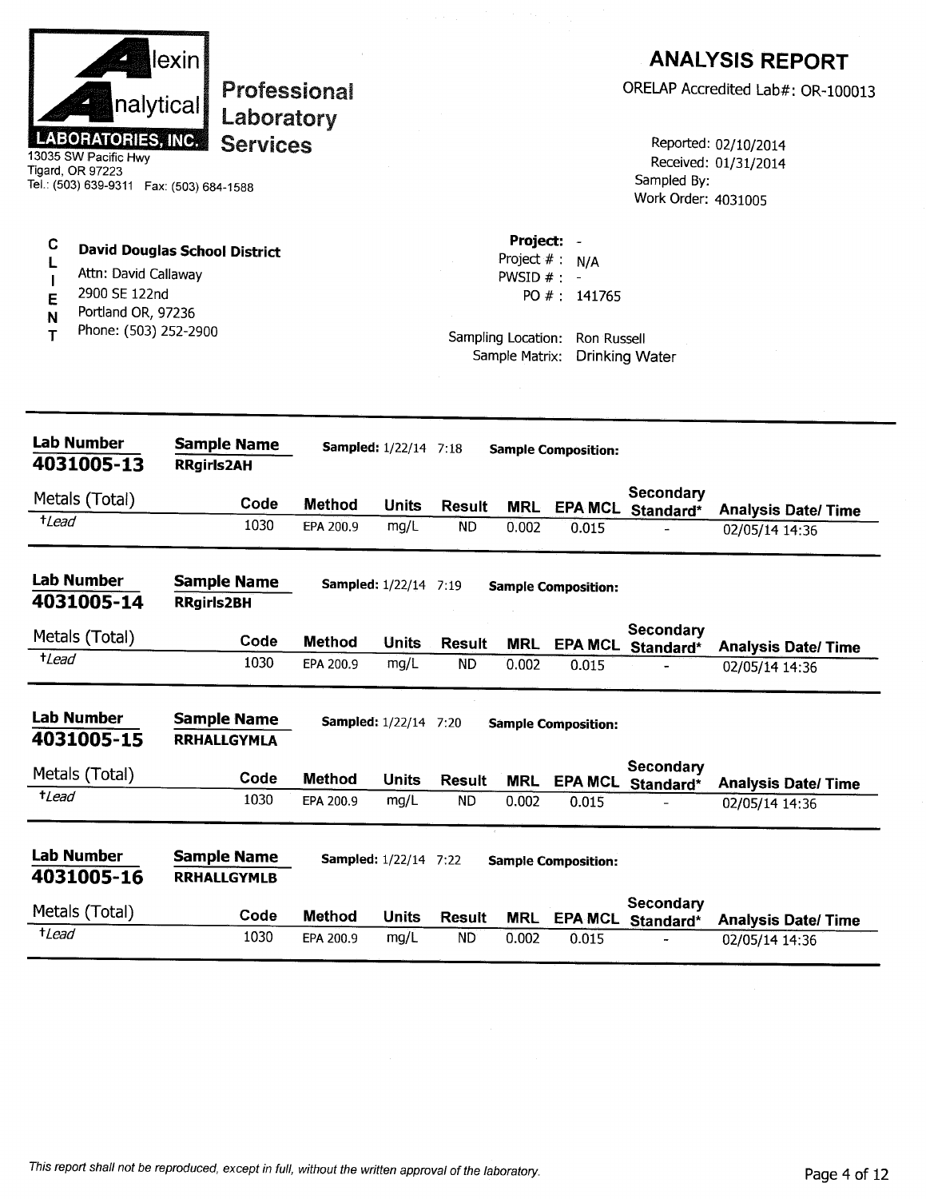|                 |                                             | lexin                                     |               |                              |               |                |                                |                                       | <b>ANALYSIS REPORT</b>                       |
|-----------------|---------------------------------------------|-------------------------------------------|---------------|------------------------------|---------------|----------------|--------------------------------|---------------------------------------|----------------------------------------------|
|                 | nalytical                                   | Laboratory                                | Professional  |                              |               |                |                                |                                       | ORELAP Accredited Lab#: OR-100013            |
|                 | <b>LABORATORIES, INC.</b>                   | <b>Services</b>                           |               |                              |               |                |                                |                                       | Reported: 02/10/2014                         |
|                 | 13035 SW Pacific Hwy<br>Tigard, OR 97223    |                                           |               |                              |               |                |                                |                                       | Received: 01/31/2014                         |
|                 |                                             | Tel.: (503) 639-9311  Fax: (503) 684-1588 |               |                              |               |                |                                | Sampled By:<br>Work Order: 4031005    |                                              |
| C               |                                             | <b>David Douglas School District</b>      |               |                              |               | Project: -     |                                |                                       |                                              |
|                 | Attn: David Callaway                        |                                           |               |                              |               | PWSID $#$ : -  | Project $# : N/A$              |                                       |                                              |
| Е               | 2900 SE 122nd                               |                                           |               |                              |               |                | PO #: 141765                   |                                       |                                              |
| N<br>т          | Portland OR, 97236<br>Phone: (503) 252-2900 |                                           |               |                              |               | Sample Matrix: | Sampling Location: Ron Russell | <b>Drinking Water</b>                 |                                              |
|                 |                                             |                                           |               |                              |               |                |                                |                                       |                                              |
|                 | <b>Lab Number</b>                           | <b>Sample Name</b>                        |               | <b>Sampled:</b> 1/22/14 7:18 |               |                | <b>Sample Composition:</b>     |                                       |                                              |
|                 | 4031005-13                                  | <b>RRgirls2AH</b>                         |               |                              |               |                |                                |                                       |                                              |
|                 | Metals (Total)                              | Code                                      | <b>Method</b> | <b>Units</b>                 | <b>Result</b> | <b>MRL</b>     | <b>EPA MCL</b>                 | Secondary<br>Standard*                | <b>Analysis Date/Time</b>                    |
| $t$ Lead        |                                             | 1030                                      | EPA 200.9     | mg/L                         | ND.           | 0.002          | 0.015                          |                                       | 02/05/14 14:36                               |
|                 | <b>Lab Number</b>                           | <b>Sample Name</b>                        |               | <b>Sampled:</b> 1/22/14 7:19 |               |                | <b>Sample Composition:</b>     |                                       |                                              |
|                 | 4031005-14                                  | <b>RRgirls2BH</b>                         |               |                              |               |                |                                |                                       |                                              |
|                 | Metals (Total)                              | Code                                      | <b>Method</b> | <b>Units</b>                 | <b>Result</b> | MRL            |                                | Secondary<br>EPA MCL Standard*        | <b>Analysis Date/Time</b>                    |
| $t$ <i>Lead</i> |                                             | 1030                                      | EPA 200.9     | mg/L                         | ND.           | 0.002          | 0.015                          |                                       | 02/05/14 14:36                               |
|                 | <b>Lab Number</b>                           | <b>Sample Name</b>                        |               | <b>Sampled:</b> 1/22/14 7:20 |               |                | <b>Sample Composition:</b>     |                                       |                                              |
|                 | 4031005-15                                  | <b>RRHALLGYMLA</b>                        |               |                              |               |                |                                |                                       |                                              |
|                 | Metals (Total)                              | Code                                      | <b>Method</b> | <b>Units</b>                 | <b>Result</b> | MRL            |                                | Secondary<br>EPA MCL Standard*        |                                              |
| $t$ Lead        |                                             | 1030                                      | EPA 200.9     | mg/L                         | <b>ND</b>     | 0.002          | 0.015                          |                                       | <b>Analysis Date/ Time</b><br>02/05/14 14:36 |
|                 | <b>Lab Number</b>                           | <b>Sample Name</b>                        |               | <b>Sampled:</b> 1/22/14 7:22 |               |                | <b>Sample Composition:</b>     |                                       |                                              |
|                 | 4031005-16                                  | <b>RRHALLGYMLB</b>                        |               |                              |               |                |                                |                                       |                                              |
|                 | Metals (Total)                              | Code                                      | <b>Method</b> | <b>Units</b>                 | <b>Result</b> | <b>MRL</b>     |                                | <b>Secondary</b><br>EPA MCL Standard* | <b>Analysis Date/ Time</b>                   |
|                 |                                             |                                           |               |                              |               |                |                                |                                       |                                              |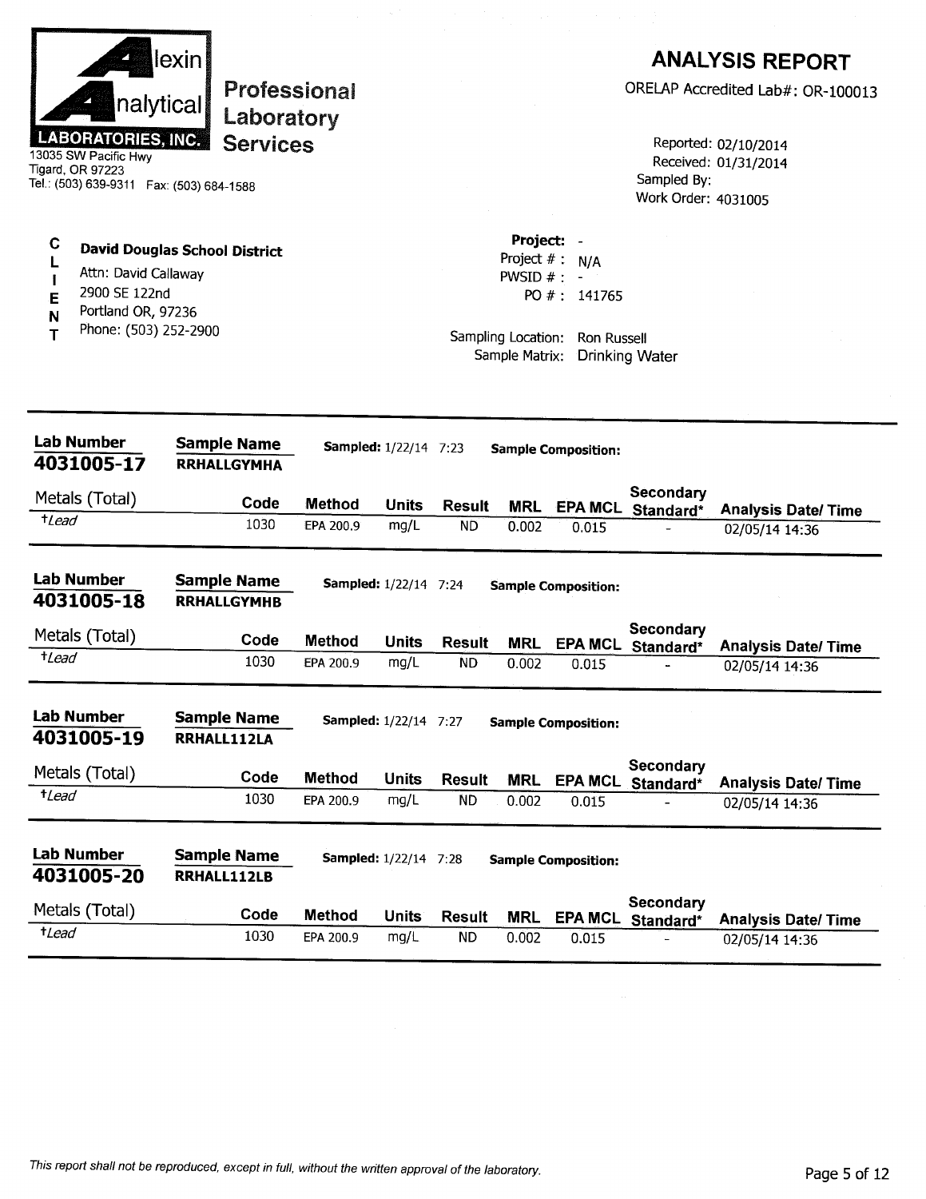|                                       | nalytical<br><b>LABORATORIES, INC.</b><br>13035 SW Pacific Hwy<br>Tigard, OR 97223<br>Tel.: (503) 639-9311    Fax: (503) 684-1588 | lexin<br>Laboratory<br><b>Services</b>   | <b>Professional</b> |                              |               |                                                                   |                                                            | Sampled By:<br>Work Order: 4031005 | <b>ANALYSIS REPORT</b><br>ORELAP Accredited Lab#: OR-100013<br>Reported: 02/10/2014<br>Received: 01/31/2014 |
|---------------------------------------|-----------------------------------------------------------------------------------------------------------------------------------|------------------------------------------|---------------------|------------------------------|---------------|-------------------------------------------------------------------|------------------------------------------------------------|------------------------------------|-------------------------------------------------------------------------------------------------------------|
| C<br>L<br>$\mathbf{I}$<br>E<br>N<br>т | Attn: David Callaway<br>2900 SE 122nd<br>Portland OR, 97236<br>Phone: (503) 252-2900                                              | <b>David Douglas School District</b>     |                     |                              |               | Project: -<br>PWSID $# :$<br>Sampling Location:<br>Sample Matrix: | Project $# : N/A$<br>PO # : $141765$<br><b>Ron Russell</b> | <b>Drinking Water</b>              |                                                                                                             |
|                                       | <b>Lab Number</b><br>4031005-17                                                                                                   | <b>Sample Name</b><br><b>RRHALLGYMHA</b> |                     | Sampled: 1/22/14 7:23        |               |                                                                   | <b>Sample Composition:</b>                                 |                                    |                                                                                                             |
|                                       | Metals (Total)                                                                                                                    | Code                                     | Method              | <b>Units</b>                 | <b>Result</b> | <b>MRL</b>                                                        |                                                            | Secondary<br>EPA MCL Standard*     | <b>Analysis Date/Time</b>                                                                                   |
| $t$ Lead                              |                                                                                                                                   | 1030                                     | EPA 200.9           | mg/L                         | <b>ND</b>     | 0.002                                                             | 0.015                                                      |                                    | 02/05/14 14:36                                                                                              |
|                                       | <b>Lab Number</b><br>4031005-18                                                                                                   | <b>Sample Name</b><br><b>RRHALLGYMHB</b> |                     | <b>Sampled:</b> 1/22/14 7:24 |               |                                                                   | <b>Sample Composition:</b>                                 |                                    |                                                                                                             |
|                                       | Metals (Total)                                                                                                                    | Code                                     | <b>Method</b>       | <b>Units</b>                 | <b>Result</b> | <b>MRL</b>                                                        |                                                            | Secondary<br>EPA MCL Standard*     | <b>Analysis Date/Time</b>                                                                                   |
| <i><b>+Lead</b></i>                   |                                                                                                                                   | 1030                                     | EPA 200.9           | mg/L                         | ND            | 0.002                                                             | 0.015                                                      |                                    | 02/05/14 14:36                                                                                              |
|                                       | <b>Lab Number</b><br>4031005-19                                                                                                   | <b>Sample Name</b><br>RRHALL112LA        |                     | <b>Sampled:</b> 1/22/14 7:27 |               |                                                                   | <b>Sample Composition:</b>                                 |                                    |                                                                                                             |
|                                       | Metals (Total)                                                                                                                    | Code                                     | Method              | <b>Units</b>                 | <b>Result</b> | <b>MRL</b>                                                        | <b>EPA MCL</b>                                             | Secondary<br>Standard*             | <b>Analysis Date/Time</b>                                                                                   |
| $t$ <i>Lead</i>                       |                                                                                                                                   | 1030                                     | EPA 200.9           | mg/L                         | <b>ND</b>     | 0.002                                                             | 0.015                                                      |                                    | 02/05/14 14:36                                                                                              |
|                                       | Lab Number<br>4031005-20                                                                                                          | <b>Sample Name</b><br>RRHALL112LB        |                     | <b>Sampled:</b> 1/22/14 7:28 |               |                                                                   | <b>Sample Composition:</b>                                 |                                    |                                                                                                             |
|                                       | Metals (Total)                                                                                                                    | Code                                     | <b>Method</b>       | <b>Units</b>                 | <b>Result</b> | <b>MRL</b>                                                        | <b>EPA MCL</b>                                             | Secondary<br>Standard*             | <b>Analysis Date/ Time</b>                                                                                  |
| <sup>†</sup> Lead                     |                                                                                                                                   | 1030                                     | EPA 200.9           | mg/L                         | <b>ND</b>     | 0.002                                                             | 0.015                                                      |                                    | 02/05/14 14:36                                                                                              |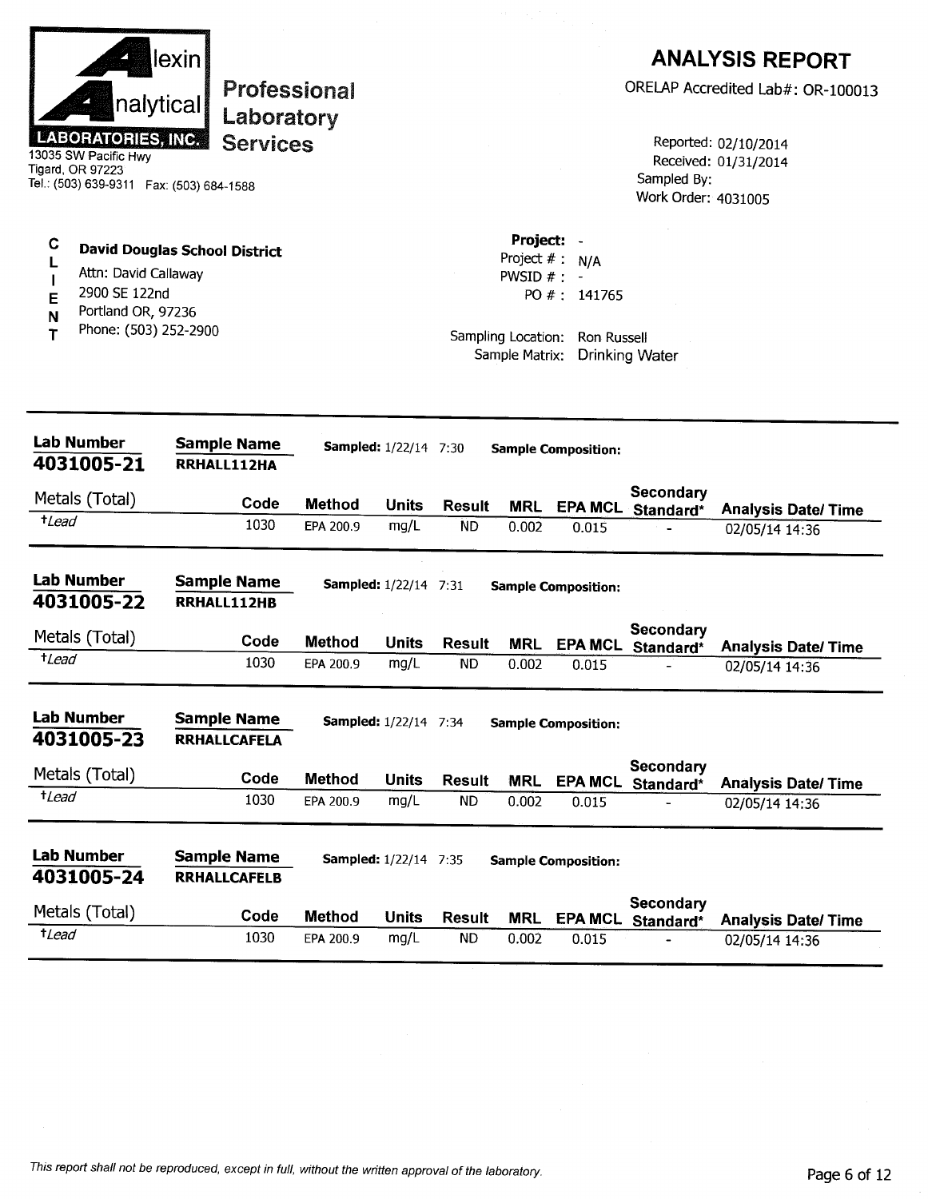|                  | nalytical<br><b>LABORATORIES, INC.</b><br>13035 SW Pacific Hwy<br>Tigard, OR 97223<br>Tel.: (503) 639-9311  Fax: (503) 684-1588 | lexin | <b>Professional</b><br>Laboratory<br><b>Services</b> |               |                              |                     |                                                                               |                                    | Sampled By:<br>Work Order: 4031005 | <b>ANALYSIS REPORT</b><br>ORELAP Accredited Lab#: OR-100013<br>Reported: 02/10/2014<br>Received: 01/31/2014 |
|------------------|---------------------------------------------------------------------------------------------------------------------------------|-------|------------------------------------------------------|---------------|------------------------------|---------------------|-------------------------------------------------------------------------------|------------------------------------|------------------------------------|-------------------------------------------------------------------------------------------------------------|
| C<br>Е<br>N<br>т | <b>David Douglas School District</b><br>Attn: David Callaway<br>2900 SE 122nd<br>Portland OR, 97236<br>Phone: (503) 252-2900    |       |                                                      |               |                              |                     | Project:<br>Project #:<br>PWSID $#$ :<br>Sampling Location:<br>Sample Matrix: | N/A<br>PO #: 141765<br>Ron Russell | Drinking Water                     |                                                                                                             |
|                  | <b>Lab Number</b><br>4031005-21                                                                                                 |       | <b>Sample Name</b><br>RRHALL112HA                    |               | <b>Sampled:</b> 1/22/14 7:30 |                     |                                                                               | <b>Sample Composition:</b>         |                                    |                                                                                                             |
|                  | Metals (Total)                                                                                                                  |       | Code                                                 | Method        |                              |                     |                                                                               |                                    | Secondary                          |                                                                                                             |
| $t$ <i>Lead</i>  |                                                                                                                                 |       | 1030                                                 | EPA 200.9     | <b>Units</b><br>mg/L         | <b>Result</b><br>ND | <b>MRL</b><br>0.002                                                           | 0.015                              | EPA MCL Standard*                  | <b>Analysis Date/Time</b><br>02/05/14 14:36                                                                 |
|                  | <b>Lab Number</b><br>4031005-22                                                                                                 |       | <b>Sample Name</b><br>RRHALL112HB                    |               | <b>Sampled:</b> 1/22/14 7:31 |                     |                                                                               | <b>Sample Composition:</b>         |                                    |                                                                                                             |
|                  | Metals (Total)                                                                                                                  |       | Code                                                 | <b>Method</b> | Units                        | <b>Result</b>       | <b>MRL</b>                                                                    |                                    | Secondary<br>EPA MCL Standard*     | <b>Analysis Date/Time</b>                                                                                   |
| $t$ <i>Lead</i>  |                                                                                                                                 |       | 1030                                                 | EPA 200.9     | mg/L                         | <b>ND</b>           | 0.002                                                                         | 0.015                              |                                    | 02/05/14 14:36                                                                                              |
|                  | Lab Number<br>4031005-23                                                                                                        |       | <b>Sample Name</b><br><b>RRHALLCAFELA</b>            |               | <b>Sampled:</b> 1/22/14 7:34 |                     |                                                                               | <b>Sample Composition:</b>         | Secondary                          |                                                                                                             |
|                  | Metals (Total)                                                                                                                  |       | Code                                                 | Method        | <b>Units</b>                 | <b>Result</b>       | <b>MRL</b>                                                                    | <b>EPA MCL</b>                     | Standard*                          | <b>Analysis Date/Time</b>                                                                                   |
| $t$ Lead         |                                                                                                                                 |       | 1030                                                 | EPA 200.9     | mg/L                         | <b>ND</b>           | 0.002                                                                         | 0.015                              |                                    | 02/05/14 14:36                                                                                              |
|                  | <b>Lab Number</b><br>4031005-24                                                                                                 |       | <b>Sample Name</b><br><b>RRHALLCAFELB</b>            |               | <b>Sampled:</b> 1/22/14 7:35 |                     |                                                                               | <b>Sample Composition:</b>         |                                    |                                                                                                             |
|                  | Metals (Total)                                                                                                                  |       | Code                                                 | Method        | <b>Units</b>                 | <b>Result</b>       | <b>MRL</b>                                                                    | <b>EPA MCL</b>                     | Secondary<br>Standard*             | <b>Analysis Date/Time</b>                                                                                   |
| <i>tLead</i>     |                                                                                                                                 |       | 1030                                                 | EPA 200.9     | mg/L                         | <b>ND</b>           | 0.002                                                                         | 0.015                              |                                    | 02/05/14 14:36                                                                                              |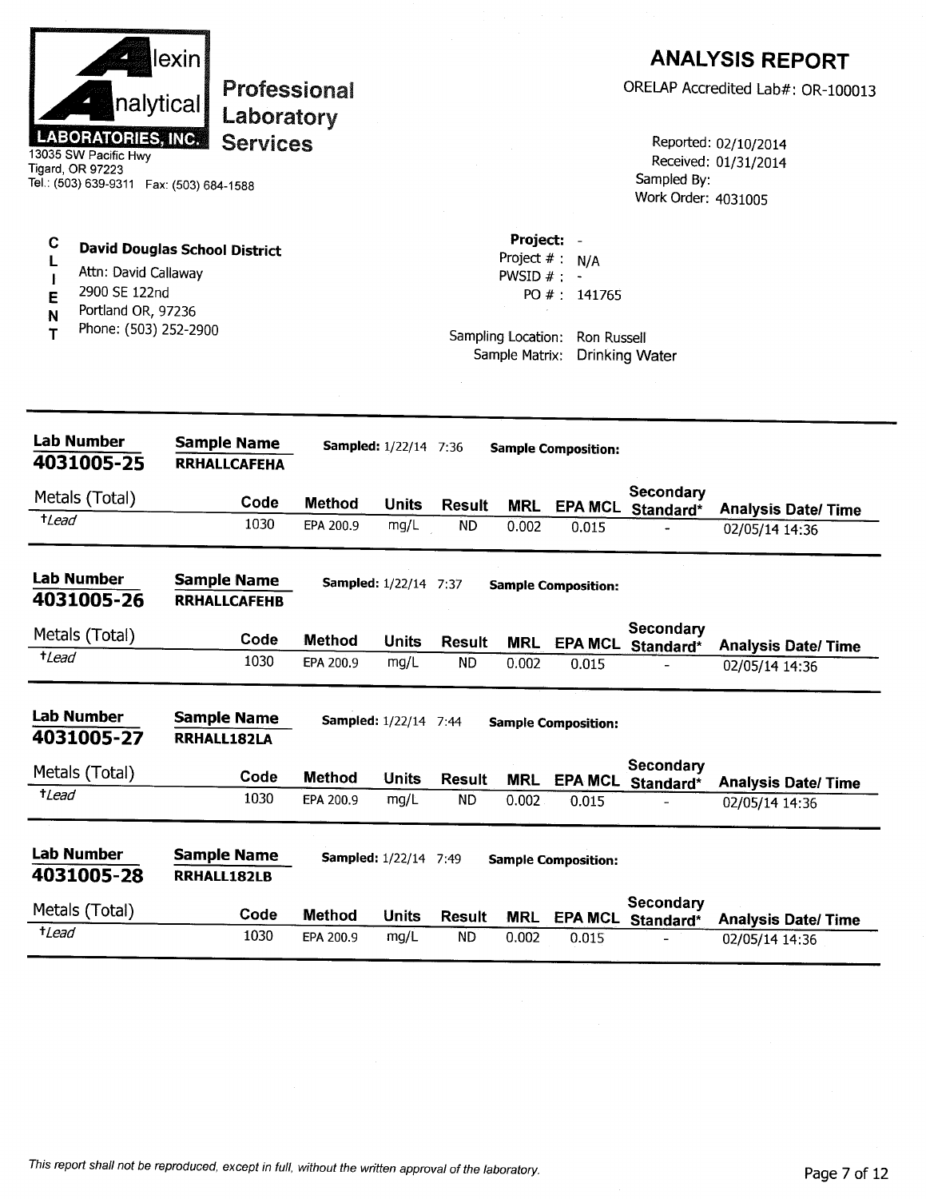| nalytical<br><b>LABORATORIES, INC.</b><br>13035 SW Pacific Hwy<br>Tigard, OR 97223<br>Tel.: (503) 639-9311    Fax: (503) 684-1588 | lexin<br>Professional<br>Laboratory<br><b>Services</b> |               |                              |               |                                                               |                                                       | Sampled By:<br>Work Order: 4031005 | <b>ANALYSIS REPORT</b><br>ORELAP Accredited Lab#: OR-100013<br>Reported: 02/10/2014<br>Received: 01/31/2014 |
|-----------------------------------------------------------------------------------------------------------------------------------|--------------------------------------------------------|---------------|------------------------------|---------------|---------------------------------------------------------------|-------------------------------------------------------|------------------------------------|-------------------------------------------------------------------------------------------------------------|
| C<br>Attn: David Callaway<br>2900 SE 122nd<br>E<br>Portland OR, 97236<br>N<br>Phone: (503) 252-2900<br>т                          | <b>David Douglas School District</b>                   |               |                              |               | Project: -<br>Project $#$ :<br>PWSID $#: -$<br>Sample Matrix: | N/A<br>PO #: 141765<br>Sampling Location: Ron Russell | <b>Drinking Water</b>              |                                                                                                             |
| <b>Lab Number</b><br>4031005-25                                                                                                   | <b>Sample Name</b><br><b>RRHALLCAFEHA</b>              |               | <b>Sampled:</b> 1/22/14 7:36 |               |                                                               | <b>Sample Composition:</b>                            |                                    |                                                                                                             |
| Metals (Total)                                                                                                                    | Code                                                   | <b>Method</b> | <b>Units</b>                 | <b>Result</b> | <b>MRL</b>                                                    |                                                       | <b>Secondary</b>                   |                                                                                                             |
| $t$ Lead                                                                                                                          | 1030                                                   | EPA 200.9     | mg/L                         | <b>ND</b>     | 0.002                                                         | 0.015                                                 | EPA MCL Standard*                  | <b>Analysis Date/ Time</b><br>02/05/14 14:36                                                                |
| <b>Lab Number</b><br>4031005-26                                                                                                   | <b>Sample Name</b><br><b>RRHALLCAFEHB</b>              |               | <b>Sampled:</b> 1/22/14 7:37 |               |                                                               | <b>Sample Composition:</b>                            |                                    |                                                                                                             |
| Metals (Total)                                                                                                                    | Code                                                   | <b>Method</b> | Units                        | <b>Result</b> | <b>MRL</b>                                                    | <b>EPA MCL</b>                                        | Secondary<br>Standard*             | <b>Analysis Date/Time</b>                                                                                   |
| $t$ Lead                                                                                                                          | 1030                                                   | EPA 200.9     | mg/L                         | <b>ND</b>     | 0.002                                                         | 0.015                                                 |                                    | 02/05/14 14:36                                                                                              |
| <b>Lab Number</b><br>4031005-27                                                                                                   | <b>Sample Name</b><br>RRHALL182LA                      |               | Sampled: 1/22/14 7:44        |               |                                                               | <b>Sample Composition:</b>                            |                                    |                                                                                                             |
| Metals (Total)                                                                                                                    | Code                                                   | <b>Method</b> | <b>Units</b>                 | <b>Result</b> | <b>MRL</b>                                                    | <b>EPA MCL</b>                                        | Secondary<br>Standard*             | <b>Analysis Date/Time</b>                                                                                   |
| $t$ <i>Lead</i>                                                                                                                   | 1030                                                   | EPA 200.9     | mg/L                         | <b>ND</b>     | 0.002                                                         | 0.015                                                 |                                    | 02/05/14 14:36                                                                                              |
|                                                                                                                                   |                                                        |               |                              |               |                                                               |                                                       |                                    |                                                                                                             |
| <b>Lab Number</b><br>4031005-28                                                                                                   | <b>Sample Name</b><br>RRHALL182LB                      |               | <b>Sampled:</b> 1/22/14 7:49 |               |                                                               | <b>Sample Composition:</b>                            |                                    |                                                                                                             |
| Metals (Total)<br>$t$ <i>Lead</i>                                                                                                 | Code                                                   | <b>Method</b> | <b>Units</b>                 | <b>Result</b> | <b>MRL</b>                                                    | <b>EPA MCL</b>                                        | Secondary<br>Standard*             | <b>Analysis Date/Time</b>                                                                                   |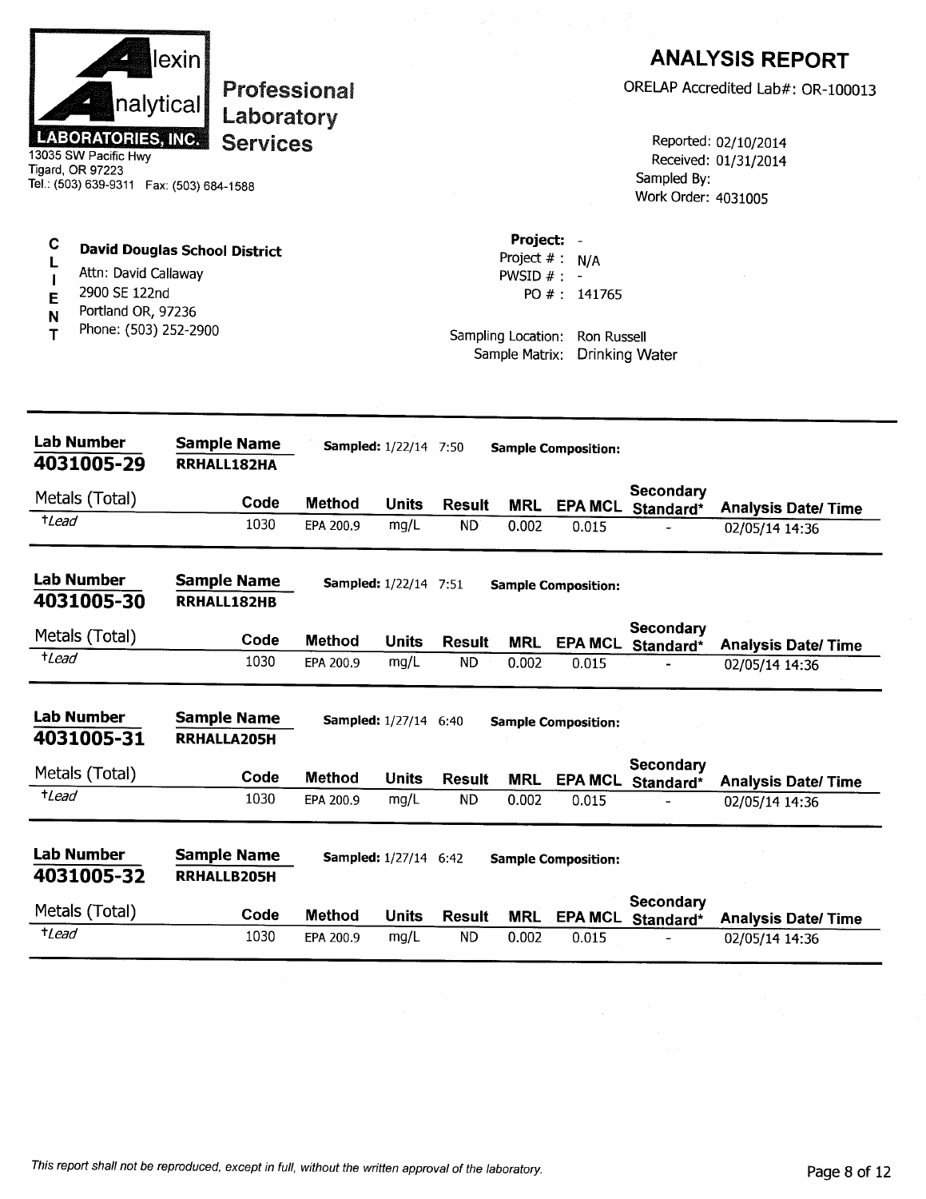|                  | nalytical<br><b>LABORATORIES, INC.</b><br>13035 SW Pacific Hwy<br>Tigard, OR 97223<br>Tel.: (503) 639-9311  Fax: (503) 684-1588 | lexin                                    | Laboratory<br><b>Services</b> | <b>Professional</b> |                              |                            |                                                                                    |                                           | Sampled By:<br>Work Order: 4031005 | <b>ANALYSIS REPORT</b><br>ORELAP Accredited Lab#: OR-100013<br>Reported: 02/10/2014<br>Received: 01/31/2014 |
|------------------|---------------------------------------------------------------------------------------------------------------------------------|------------------------------------------|-------------------------------|---------------------|------------------------------|----------------------------|------------------------------------------------------------------------------------|-------------------------------------------|------------------------------------|-------------------------------------------------------------------------------------------------------------|
| C<br>E<br>N<br>т | <b>David Douglas School District</b><br>Attn: David Callaway<br>2900 SE 122nd<br>Portland OR, 97236<br>Phone: (503) 252-2900    |                                          |                               |                     |                              |                            | Project: -<br>Project $#$ :<br>PWSID $#$ :<br>Sampling Location:<br>Sample Matrix: | N/A<br>PO #: 141765<br><b>Ron Russell</b> | <b>Drinking Water</b>              |                                                                                                             |
|                  | <b>Lab Number</b><br>4031005-29                                                                                                 | <b>Sample Name</b><br>RRHALL182HA        |                               |                     | <b>Sampled:</b> 1/22/14 7:50 |                            |                                                                                    | <b>Sample Composition:</b>                |                                    |                                                                                                             |
|                  | Metals (Total)                                                                                                                  |                                          | Code                          | <b>Method</b>       | <b>Units</b>                 |                            |                                                                                    |                                           | <b>Secondary</b>                   |                                                                                                             |
| $t$ Lead         |                                                                                                                                 |                                          | 1030                          | EPA 200.9           | mg/L                         | <b>Result</b><br><b>ND</b> | <b>MRL</b><br>0.002                                                                | <b>EPA MCL</b><br>0.015                   | Standard*                          | <b>Analysis Date/Time</b><br>02/05/14 14:36                                                                 |
|                  | <b>Lab Number</b><br>4031005-30                                                                                                 | <b>Sample Name</b><br>RRHALL182HB        |                               |                     | <b>Sampled:</b> 1/22/14 7:51 |                            |                                                                                    | <b>Sample Composition:</b>                |                                    |                                                                                                             |
|                  | Metals (Total)                                                                                                                  |                                          | Code                          | <b>Method</b>       | Units                        | <b>Result</b>              | <b>MRL</b>                                                                         | <b>EPA MCL</b>                            | Secondary<br>Standard*             | <b>Analysis Date/Time</b>                                                                                   |
| $t$ Lead         |                                                                                                                                 |                                          | 1030                          | EPA 200.9           | mg/L                         | <b>ND</b>                  | 0.002                                                                              | 0.015                                     |                                    | 02/05/14 14:36                                                                                              |
|                  | Lab Number<br>4031005-31                                                                                                        | <b>Sample Name</b><br><b>RRHALLA205H</b> |                               |                     | Sampled: 1/27/14 6:40        |                            |                                                                                    | <b>Sample Composition:</b>                | Secondary                          |                                                                                                             |
|                  | Metals (Total)                                                                                                                  |                                          | Code                          | <b>Method</b>       | <b>Units</b>                 | <b>Result</b>              | <b>MRL</b>                                                                         |                                           | EPA MCL Standard*                  | <b>Analysis Date/ Time</b>                                                                                  |
| $t$ <i>Lead</i>  |                                                                                                                                 |                                          | 1030                          | EPA 200.9           | mg/L                         | <b>ND</b>                  | 0.002                                                                              | 0.015                                     |                                    | 02/05/14 14:36                                                                                              |
|                  | <b>Lab Number</b><br>4031005-32                                                                                                 | <b>Sample Name</b><br>RRHALLB205H        |                               |                     | <b>Sampled:</b> 1/27/14 6:42 |                            |                                                                                    | <b>Sample Composition:</b>                | Secondary                          |                                                                                                             |
|                  | Metals (Total)                                                                                                                  |                                          | Code                          | Method              | <b>Units</b>                 | <b>Result</b>              | <b>MRL</b>                                                                         |                                           | EPA MCL Standard*                  | <b>Analysis Date/ Time</b>                                                                                  |
| $t$ Lead         |                                                                                                                                 |                                          | 1030                          | EPA 200.9           | mg/L                         | <b>ND</b>                  | 0.002                                                                              | 0.015                                     |                                    | 02/05/14 14:36                                                                                              |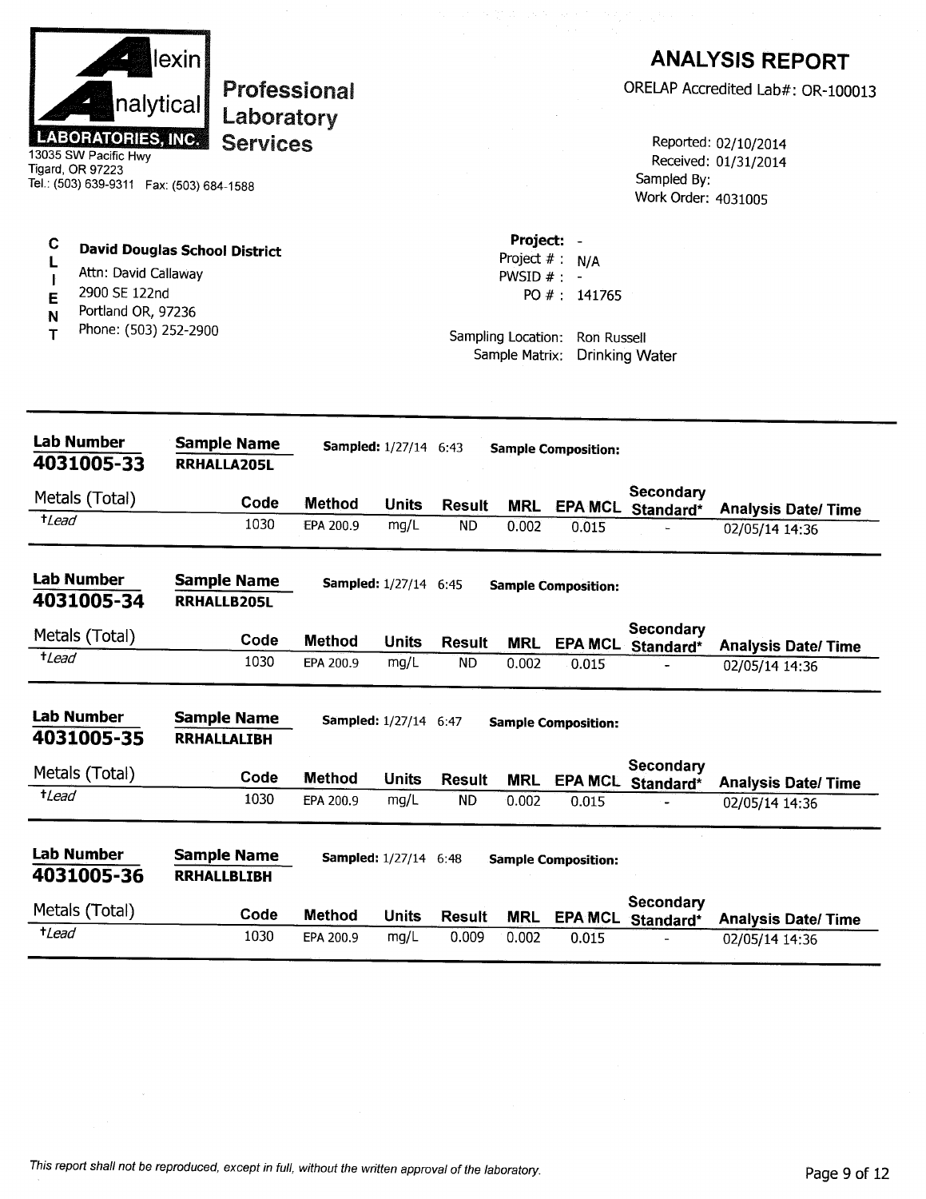| nalytical<br><b>LABORATORIES, INC.</b><br>13035 SW Pacific Hwy<br>Tigard, OR 97223<br>Tel.: (503) 639-9311    Fax: (503) 684-1588 | lexin<br><b>Professional</b><br>Laboratory<br><b>Services</b> |               |                              |               |                                                                |                                                       | Sampled By:<br>Work Order: 4031005    | <b>ANALYSIS REPORT</b><br>ORELAP Accredited Lab#: OR-100013<br>Reported: 02/10/2014<br>Received: 01/31/2014 |
|-----------------------------------------------------------------------------------------------------------------------------------|---------------------------------------------------------------|---------------|------------------------------|---------------|----------------------------------------------------------------|-------------------------------------------------------|---------------------------------------|-------------------------------------------------------------------------------------------------------------|
| С<br>Attn: David Callaway<br>2900 SE 122nd<br>E<br>Portland OR, 97236<br>N<br>Phone: (503) 252-2900<br>т                          | <b>David Douglas School District</b>                          |               |                              |               | Project: -<br>Project $#$ :<br>PWSID $# : -$<br>Sample Matrix: | N/A<br>PO #: 141765<br>Sampling Location: Ron Russell | <b>Drinking Water</b>                 |                                                                                                             |
| <b>Lab Number</b><br>4031005-33                                                                                                   | <b>Sample Name</b><br>RRHALLA205L                             |               | Sampled: 1/27/14 6:43        |               |                                                                | <b>Sample Composition:</b>                            |                                       |                                                                                                             |
| Metals (Total)                                                                                                                    | Code                                                          | Method        | <b>Units</b>                 | <b>Result</b> | <b>MRL</b>                                                     |                                                       | Secondary                             |                                                                                                             |
| <i>t</i> Lead                                                                                                                     | 1030                                                          | EPA 200.9     | mg/L                         | <b>ND</b>     | 0.002                                                          | 0.015                                                 | EPA MCL Standard*                     | <b>Analysis Date/Time</b><br>02/05/14 14:36                                                                 |
| <b>Lab Number</b><br>4031005-34                                                                                                   | <b>Sample Name</b><br><b>RRHALLB205L</b>                      |               | <b>Sampled:</b> 1/27/14 6:45 |               |                                                                | <b>Sample Composition:</b>                            |                                       |                                                                                                             |
| Metals (Total)                                                                                                                    | Code                                                          | <b>Method</b> | Units                        | <b>Result</b> | <b>MRL</b>                                                     |                                                       | <b>Secondary</b><br>EPA MCL Standard* | <b>Analysis Date/Time</b>                                                                                   |
| <i>t</i> Lead                                                                                                                     | 1030                                                          | EPA 200.9     | mg/L                         | <b>ND</b>     | 0.002                                                          | 0.015                                                 |                                       | 02/05/14 14:36                                                                                              |
| <b>Lab Number</b><br>4031005-35                                                                                                   | <b>Sample Name</b><br><b>RRHALLALIBH</b>                      |               | <b>Sampled:</b> 1/27/14 6:47 |               |                                                                | <b>Sample Composition:</b>                            |                                       |                                                                                                             |
| Metals (Total)                                                                                                                    | Code                                                          | <b>Method</b> | <b>Units</b>                 | <b>Result</b> | <b>MRL</b>                                                     | <b>EPA MCL</b>                                        | <b>Secondary</b><br>Standard*         | <b>Analysis Date/ Time</b>                                                                                  |
| $t$ <i>Lead</i>                                                                                                                   | 1030                                                          | EPA 200.9     | mg/L                         | <b>ND</b>     | 0.002                                                          | 0.015                                                 |                                       | 02/05/14 14:36                                                                                              |
| <b>Lab Number</b><br>4031005-36                                                                                                   | <b>Sample Name</b><br><b>RRHALLBLIBH</b>                      |               | <b>Sampled:</b> 1/27/14 6:48 |               |                                                                | <b>Sample Composition:</b>                            |                                       |                                                                                                             |
| Metals (Total)                                                                                                                    | Code                                                          | <b>Method</b> | <b>Units</b>                 | Result        | <b>MRL</b>                                                     | <b>EPA MCL</b>                                        | Secondary<br>Standard*                | <b>Analysis Date/Time</b>                                                                                   |
| $t$ <i>Lead</i>                                                                                                                   | 1030                                                          | EPA 200.9     | mg/L                         | 0.009         | 0.002                                                          | 0.015                                                 |                                       | 02/05/14 14:36                                                                                              |

 $\sim$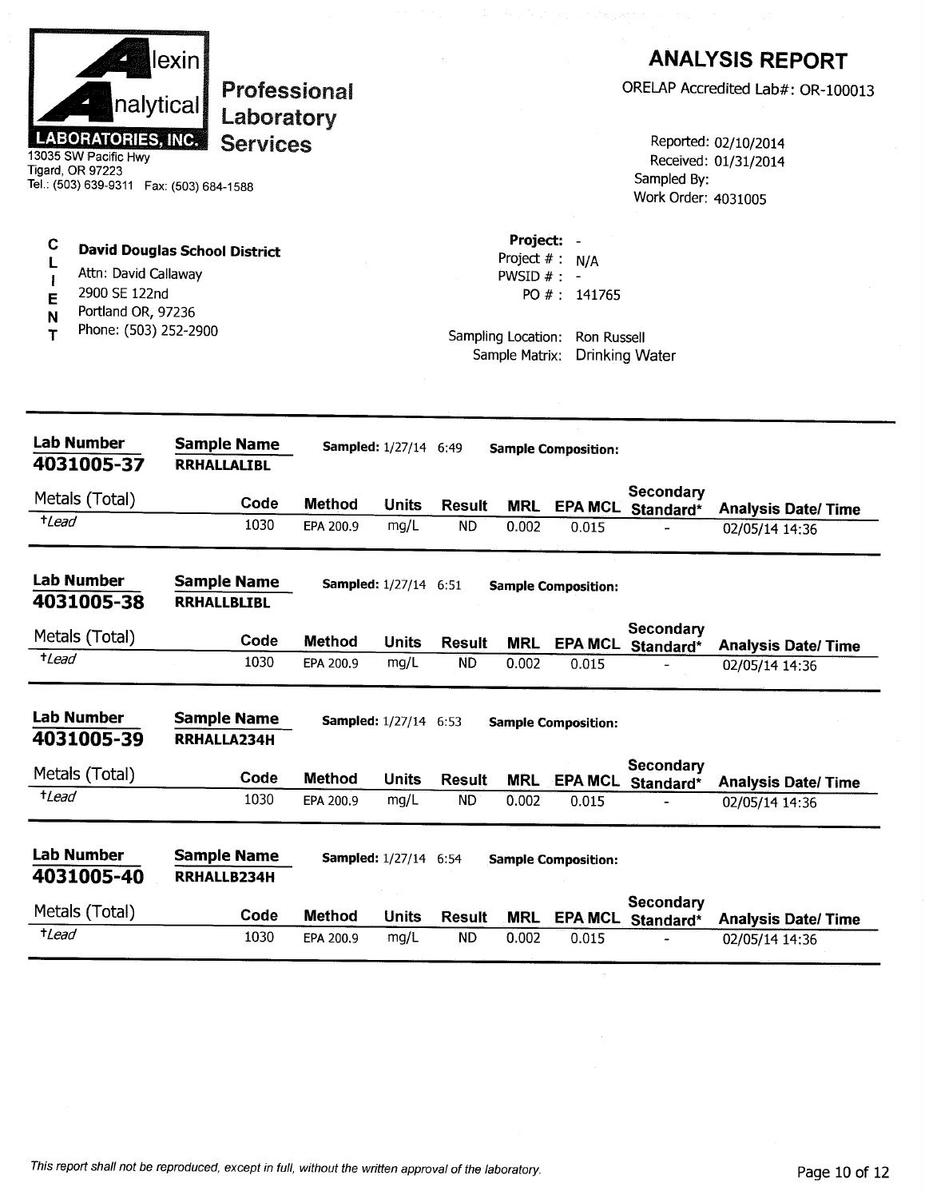|                     | nalytical<br><b>LABORATORIES, INC.</b><br>13035 SW Pacific Hwy<br>Tigard, OR 97223<br>Tel.: (503) 639-9311    Fax: (503) 684-1588 | lexin | Professional<br>Laboratory<br><b>Services</b> |               |                              |               |                                                                                    |                                           | Sampled By:<br>Work Order: 4031005    | <b>ANALYSIS REPORT</b><br>ORELAP Accredited Lab#: OR-100013<br>Reported: 02/10/2014<br>Received: 01/31/2014 |
|---------------------|-----------------------------------------------------------------------------------------------------------------------------------|-------|-----------------------------------------------|---------------|------------------------------|---------------|------------------------------------------------------------------------------------|-------------------------------------------|---------------------------------------|-------------------------------------------------------------------------------------------------------------|
| C<br>E<br>N<br>т    | <b>David Douglas School District</b><br>Attn: David Callaway<br>2900 SE 122nd<br>Portland OR, 97236<br>Phone: (503) 252-2900      |       |                                               |               |                              |               | Project:<br>Project $#$ :<br>PWSID $#$ : -<br>Sampling Location:<br>Sample Matrix: | N/A<br>PO #: 141765<br><b>Ron Russell</b> | <b>Drinking Water</b>                 |                                                                                                             |
|                     | <b>Lab Number</b><br>4031005-37                                                                                                   |       | <b>Sample Name</b><br><b>RRHALLALIBL</b>      |               | <b>Sampled:</b> 1/27/14 6:49 |               |                                                                                    | <b>Sample Composition:</b>                |                                       |                                                                                                             |
|                     | Metals (Total)                                                                                                                    |       | Code                                          | <b>Method</b> | <b>Units</b>                 | <b>Result</b> |                                                                                    |                                           | Secondary                             |                                                                                                             |
| <i>t</i> Lead       |                                                                                                                                   |       | 1030                                          | EPA 200.9     | mg/L                         | ÑD            | <b>MRL</b><br>0.002                                                                | <b>EPA MCL</b><br>0.015                   | Standard*                             | <b>Analysis Date/Time</b><br>02/05/14 14:36                                                                 |
|                     | <b>Lab Number</b><br>4031005-38                                                                                                   |       | <b>Sample Name</b><br><b>RRHALLBLIBL</b>      |               | Sampled: 1/27/14 6:51        |               |                                                                                    | <b>Sample Composition:</b>                |                                       |                                                                                                             |
|                     | Metals (Total)                                                                                                                    |       | Code                                          | <b>Method</b> | <b>Units</b>                 | <b>Result</b> | <b>MRL</b>                                                                         | <b>EPA MCL</b>                            | Secondary<br>Standard*                | <b>Analysis Date/Time</b>                                                                                   |
| <i><b>+Lead</b></i> |                                                                                                                                   |       | 1030                                          | EPA 200.9     | mg/L                         | <b>ND</b>     | 0.002                                                                              | 0.015                                     |                                       | 02/05/14 14:36                                                                                              |
|                     | <b>Lab Number</b><br>4031005-39                                                                                                   |       | <b>Sample Name</b><br>RRHALLA234H             |               | Sampled: 1/27/14 6:53        |               |                                                                                    | <b>Sample Composition:</b>                |                                       |                                                                                                             |
|                     | Metals (Total)                                                                                                                    |       | Code                                          | <b>Method</b> | <b>Units</b>                 | <b>Result</b> | <b>MRL</b>                                                                         |                                           | Secondary<br>EPA MCL Standard*        | <b>Analysis Date/Time</b>                                                                                   |
| $t$ Lead            |                                                                                                                                   |       | 1030                                          | EPA 200.9     | mg/L                         | <b>ND</b>     | 0.002                                                                              | 0.015                                     |                                       | 02/05/14 14:36                                                                                              |
|                     | <b>Lab Number</b><br>4031005-40                                                                                                   |       | <b>Sample Name</b><br>RRHALLB234H             |               | <b>Sampled:</b> 1/27/14 6:54 |               |                                                                                    | <b>Sample Composition:</b>                |                                       |                                                                                                             |
|                     | Metals (Total)                                                                                                                    |       | Code                                          | <b>Method</b> | <b>Units</b>                 | <b>Result</b> | MRL                                                                                |                                           | <b>Secondary</b><br>EPA MCL Standard* | <b>Analysis Date/Time</b>                                                                                   |
| $t$ Lead            |                                                                                                                                   |       | 1030                                          | EPA 200.9     | mg/L                         | <b>ND</b>     | 0.002                                                                              | 0.015                                     |                                       | 02/05/14 14:36                                                                                              |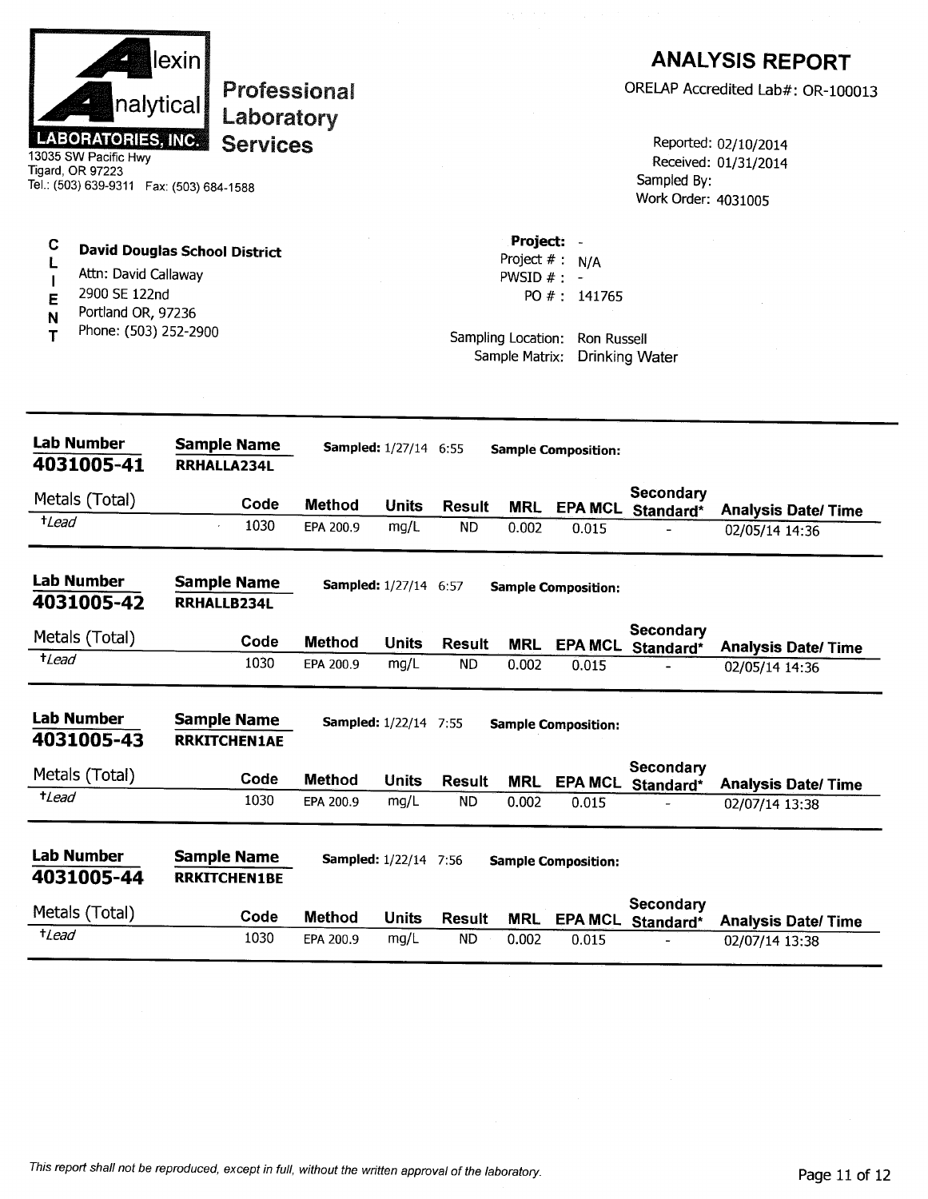| nalytical<br><b>LABORATORIES, INC.</b><br>13035 SW Pacific Hwy<br>Tigard, OR 97223<br>Tel.: (503) 639-9311  Fax: (503) 684-1588 | lexin l<br>Professional<br>Laboratory<br><b>Services</b> |               |                              |                            |                                                                   |                                                         | Sampled By:<br>Work Order: 4031005 | <b>ANALYSIS REPORT</b><br>ORELAP Accredited Lab#: OR-100013<br>Reported: 02/10/2014<br>Received: 01/31/2014 |
|---------------------------------------------------------------------------------------------------------------------------------|----------------------------------------------------------|---------------|------------------------------|----------------------------|-------------------------------------------------------------------|---------------------------------------------------------|------------------------------------|-------------------------------------------------------------------------------------------------------------|
| С<br>Attn: David Callaway<br>2900 SE 122nd<br>E<br>Portland OR, 97236<br>N<br>Phone: (503) 252-2900<br>т                        | <b>David Douglas School District</b>                     |               |                              |                            | Project:<br>PWSID $# : -$<br>Sampling Location:<br>Sample Matrix: | Project $# : N/A$<br>PO #: 141765<br><b>Ron Russell</b> | <b>Drinking Water</b>              |                                                                                                             |
| <b>Lab Number</b><br>4031005-41                                                                                                 | <b>Sample Name</b><br>RRHALLA234L                        |               | <b>Sampled:</b> 1/27/14 6:55 |                            |                                                                   | <b>Sample Composition:</b>                              |                                    |                                                                                                             |
| Metals (Total)                                                                                                                  | Code                                                     | <b>Method</b> | <b>Units</b>                 |                            |                                                                   |                                                         | Secondary                          |                                                                                                             |
| $t$ Lead                                                                                                                        | 1030                                                     | EPA 200.9     | mg/L                         | <b>Result</b><br><b>ND</b> | <b>MRL</b><br>0.002                                               | 0.015                                                   | EPA MCL Standard*                  | <b>Analysis Date/Time</b><br>02/05/14 14:36                                                                 |
| <b>Lab Number</b><br>4031005-42                                                                                                 | <b>Sample Name</b><br>RRHALLB234L                        |               | Sampled: 1/27/14 6:57        |                            |                                                                   | <b>Sample Composition:</b>                              |                                    |                                                                                                             |
| Metals (Total)                                                                                                                  | Code                                                     | <b>Method</b> | <b>Units</b>                 | <b>Result</b>              | <b>MRL</b>                                                        |                                                         | Secondary<br>EPA MCL Standard*     | <b>Analysis Date/Time</b>                                                                                   |
| $t$ <i>Lead</i>                                                                                                                 | 1030                                                     | EPA 200.9     | mg/L                         | ND.                        | 0.002                                                             | 0.015                                                   |                                    | 02/05/14 14:36                                                                                              |
| <b>Lab Number</b><br>4031005-43                                                                                                 | <b>Sample Name</b><br><b>RRKITCHEN1AE</b>                |               | <b>Sampled:</b> 1/22/14 7:55 |                            |                                                                   | <b>Sample Composition:</b>                              |                                    |                                                                                                             |
| Metals (Total)                                                                                                                  | Code                                                     | <b>Method</b> | <b>Units</b>                 | <b>Result</b>              | <b>MRL</b>                                                        |                                                         | Secondary<br>EPA MCL Standard*     | <b>Analysis Date/Time</b>                                                                                   |
| $t$ Lead                                                                                                                        | 1030                                                     | EPA 200.9     | mg/L                         | ND                         | 0.002                                                             | 0.015                                                   |                                    | 02/07/14 13:38                                                                                              |
| <b>Lab Number</b><br>4031005-44                                                                                                 | <b>Sample Name</b><br><b>RRKITCHEN1BE</b>                |               | <b>Sampled:</b> 1/22/14 7:56 |                            |                                                                   | <b>Sample Composition:</b>                              |                                    |                                                                                                             |
|                                                                                                                                 |                                                          |               |                              |                            |                                                                   |                                                         |                                    |                                                                                                             |
| Metals (Total)                                                                                                                  | Code                                                     | <b>Method</b> | <b>Units</b>                 | <b>Result</b>              | <b>MRL</b>                                                        | <b>EPA MCL</b>                                          | Secondary<br>Standard*             | <b>Analysis Date/Time</b>                                                                                   |